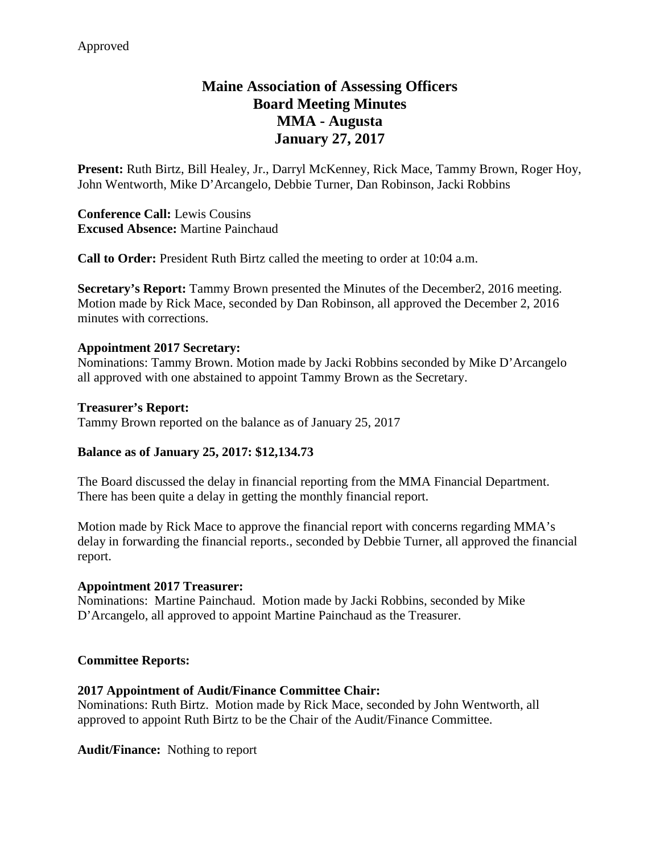# **Maine Association of Assessing Officers Board Meeting Minutes MMA - Augusta January 27, 2017**

**Present:** Ruth Birtz, Bill Healey, Jr., Darryl McKenney, Rick Mace, Tammy Brown, Roger Hoy, John Wentworth, Mike D'Arcangelo, Debbie Turner, Dan Robinson, Jacki Robbins

**Conference Call:** Lewis Cousins **Excused Absence:** Martine Painchaud

**Call to Order:** President Ruth Birtz called the meeting to order at 10:04 a.m.

**Secretary's Report:** Tammy Brown presented the Minutes of the December2, 2016 meeting. Motion made by Rick Mace, seconded by Dan Robinson, all approved the December 2, 2016 minutes with corrections.

#### **Appointment 2017 Secretary:**

Nominations: Tammy Brown. Motion made by Jacki Robbins seconded by Mike D'Arcangelo all approved with one abstained to appoint Tammy Brown as the Secretary.

#### **Treasurer's Report:**

Tammy Brown reported on the balance as of January 25, 2017

## **Balance as of January 25, 2017: \$12,134.73**

The Board discussed the delay in financial reporting from the MMA Financial Department. There has been quite a delay in getting the monthly financial report.

Motion made by Rick Mace to approve the financial report with concerns regarding MMA's delay in forwarding the financial reports., seconded by Debbie Turner, all approved the financial report.

#### **Appointment 2017 Treasurer:**

Nominations: Martine Painchaud. Motion made by Jacki Robbins, seconded by Mike D'Arcangelo, all approved to appoint Martine Painchaud as the Treasurer.

#### **Committee Reports:**

#### **2017 Appointment of Audit/Finance Committee Chair:**

Nominations: Ruth Birtz. Motion made by Rick Mace, seconded by John Wentworth, all approved to appoint Ruth Birtz to be the Chair of the Audit/Finance Committee.

**Audit/Finance:** Nothing to report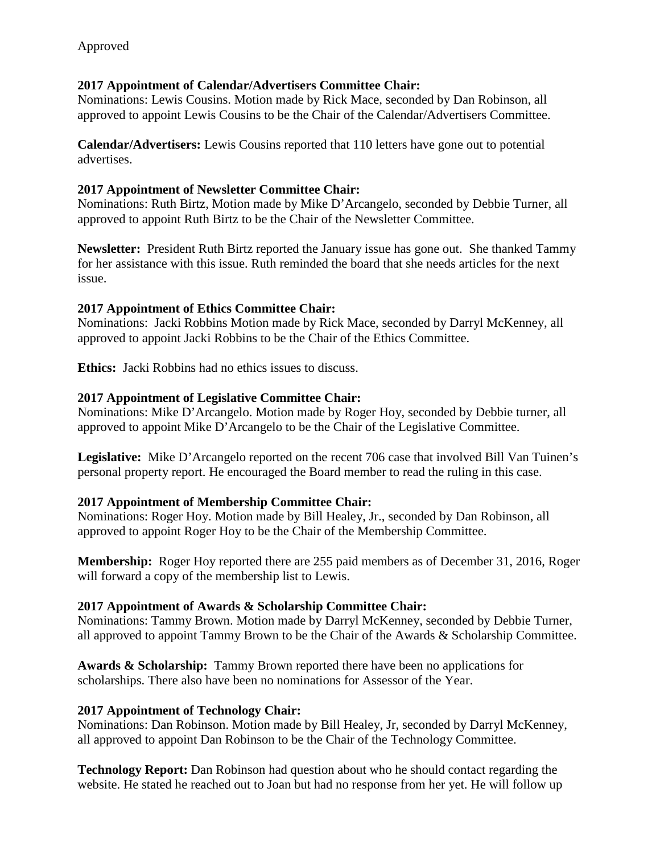#### **2017 Appointment of Calendar/Advertisers Committee Chair:**

Nominations: Lewis Cousins. Motion made by Rick Mace, seconded by Dan Robinson, all approved to appoint Lewis Cousins to be the Chair of the Calendar/Advertisers Committee.

**Calendar/Advertisers:** Lewis Cousins reported that 110 letters have gone out to potential advertises.

## **2017 Appointment of Newsletter Committee Chair:**

Nominations: Ruth Birtz, Motion made by Mike D'Arcangelo, seconded by Debbie Turner, all approved to appoint Ruth Birtz to be the Chair of the Newsletter Committee.

**Newsletter:** President Ruth Birtz reported the January issue has gone out. She thanked Tammy for her assistance with this issue. Ruth reminded the board that she needs articles for the next issue.

## **2017 Appointment of Ethics Committee Chair:**

Nominations: Jacki Robbins Motion made by Rick Mace, seconded by Darryl McKenney, all approved to appoint Jacki Robbins to be the Chair of the Ethics Committee.

**Ethics:** Jacki Robbins had no ethics issues to discuss.

## **2017 Appointment of Legislative Committee Chair:**

Nominations: Mike D'Arcangelo. Motion made by Roger Hoy, seconded by Debbie turner, all approved to appoint Mike D'Arcangelo to be the Chair of the Legislative Committee.

**Legislative:** Mike D'Arcangelo reported on the recent 706 case that involved Bill Van Tuinen's personal property report. He encouraged the Board member to read the ruling in this case.

## **2017 Appointment of Membership Committee Chair:**

Nominations: Roger Hoy. Motion made by Bill Healey, Jr., seconded by Dan Robinson, all approved to appoint Roger Hoy to be the Chair of the Membership Committee.

**Membership:** Roger Hoy reported there are 255 paid members as of December 31, 2016, Roger will forward a copy of the membership list to Lewis.

## **2017 Appointment of Awards & Scholarship Committee Chair:**

Nominations: Tammy Brown. Motion made by Darryl McKenney, seconded by Debbie Turner, all approved to appoint Tammy Brown to be the Chair of the Awards & Scholarship Committee.

**Awards & Scholarship:** Tammy Brown reported there have been no applications for scholarships. There also have been no nominations for Assessor of the Year.

#### **2017 Appointment of Technology Chair:**

Nominations: Dan Robinson. Motion made by Bill Healey, Jr, seconded by Darryl McKenney, all approved to appoint Dan Robinson to be the Chair of the Technology Committee.

**Technology Report:** Dan Robinson had question about who he should contact regarding the website. He stated he reached out to Joan but had no response from her yet. He will follow up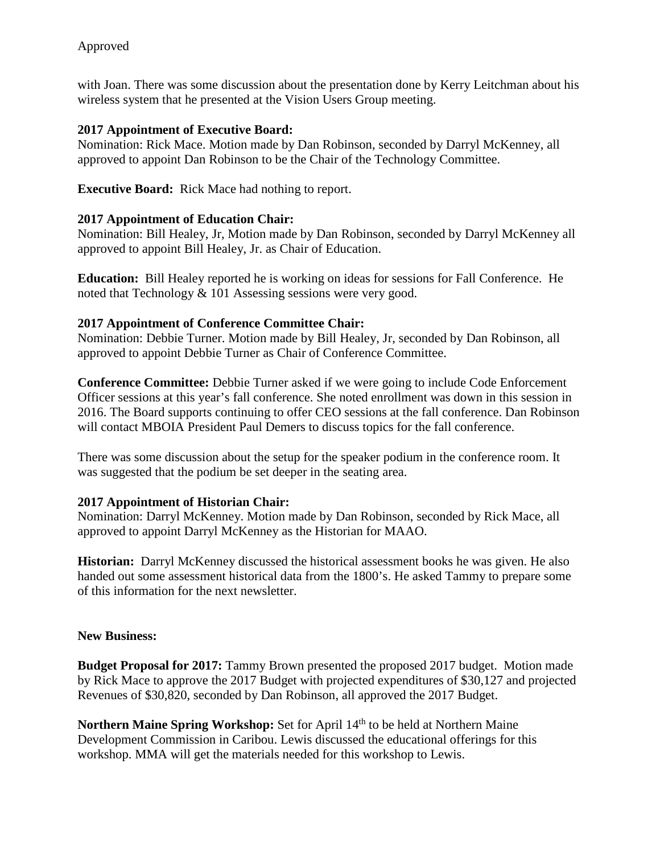with Joan. There was some discussion about the presentation done by Kerry Leitchman about his wireless system that he presented at the Vision Users Group meeting.

# **2017 Appointment of Executive Board:**

Nomination: Rick Mace. Motion made by Dan Robinson, seconded by Darryl McKenney, all approved to appoint Dan Robinson to be the Chair of the Technology Committee.

**Executive Board:** Rick Mace had nothing to report.

# **2017 Appointment of Education Chair:**

Nomination: Bill Healey, Jr, Motion made by Dan Robinson, seconded by Darryl McKenney all approved to appoint Bill Healey, Jr. as Chair of Education.

**Education:** Bill Healey reported he is working on ideas for sessions for Fall Conference. He noted that Technology & 101 Assessing sessions were very good.

# **2017 Appointment of Conference Committee Chair:**

Nomination: Debbie Turner. Motion made by Bill Healey, Jr, seconded by Dan Robinson, all approved to appoint Debbie Turner as Chair of Conference Committee.

**Conference Committee:** Debbie Turner asked if we were going to include Code Enforcement Officer sessions at this year's fall conference. She noted enrollment was down in this session in 2016. The Board supports continuing to offer CEO sessions at the fall conference. Dan Robinson will contact MBOIA President Paul Demers to discuss topics for the fall conference.

There was some discussion about the setup for the speaker podium in the conference room. It was suggested that the podium be set deeper in the seating area.

# **2017 Appointment of Historian Chair:**

Nomination: Darryl McKenney. Motion made by Dan Robinson, seconded by Rick Mace, all approved to appoint Darryl McKenney as the Historian for MAAO.

**Historian:** Darryl McKenney discussed the historical assessment books he was given. He also handed out some assessment historical data from the 1800's. He asked Tammy to prepare some of this information for the next newsletter.

## **New Business:**

**Budget Proposal for 2017:** Tammy Brown presented the proposed 2017 budget. Motion made by Rick Mace to approve the 2017 Budget with projected expenditures of \$30,127 and projected Revenues of \$30,820, seconded by Dan Robinson, all approved the 2017 Budget.

**Northern Maine Spring Workshop:** Set for April 14<sup>th</sup> to be held at Northern Maine Development Commission in Caribou. Lewis discussed the educational offerings for this workshop. MMA will get the materials needed for this workshop to Lewis.